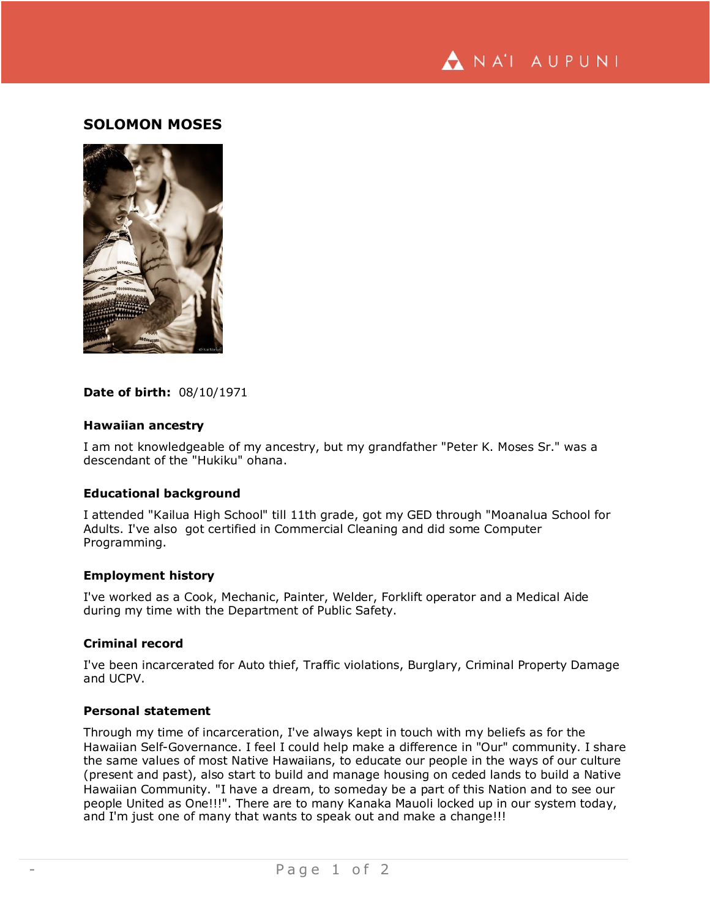

# **SOLOMON MOSES**



### **Date of birth:** 08/10/1971

## **Hawaiian ancestry**

I am not knowledgeable of my ancestry, but my grandfather "Peter K. Moses Sr." was a descendant of the "Hukiku" ohana.

#### **Educational background**

I attended "Kailua High School" till 11th grade, got my GED through "Moanalua School for Adults. I've also got certified in Commercial Cleaning and did some Computer Programming.

### **Employment history**

I've worked as a Cook, Mechanic, Painter, Welder, Forklift operator and a Medical Aide during my time with the Department of Public Safety.

### **Criminal record**

I've been incarcerated for Auto thief, Traffic violations, Burglary, Criminal Property Damage and UCPV.

### **Personal statement**

Through my time of incarceration, I've always kept in touch with my beliefs as for the Hawaiian Self-Governance. I feel I could help make a difference in "Our" community. I share the same values of most Native Hawaiians, to educate our people in the ways of our culture (present and past), also start to build and manage housing on ceded lands to build a Native Hawaiian Community. "I have a dream, to someday be a part of this Nation and to see our people United as One!!!". There are to many Kanaka Mauoli locked up in our system today, and I'm just one of many that wants to speak out and make a change!!!